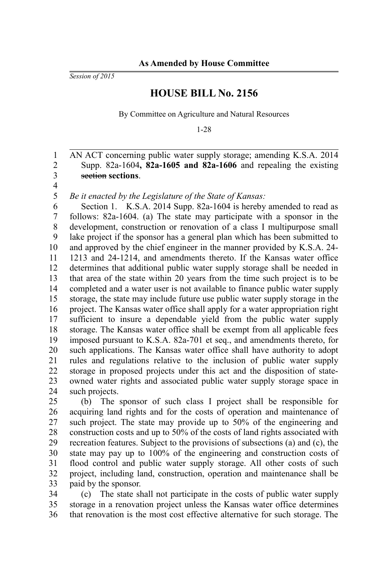*Session of 2015*

## **HOUSE BILL No. 2156**

By Committee on Agriculture and Natural Resources

1-28

AN ACT concerning public water supply storage; amending K.S.A. 2014 Supp. 82a-1604**, 82a-1605 and 82a-1606** and repealing the existing section **sections**.

3 4 5

1 2

*Be it enacted by the Legislature of the State of Kansas:*

Section 1. K.S.A. 2014 Supp. 82a-1604 is hereby amended to read as follows: 82a-1604. (a) The state may participate with a sponsor in the development, construction or renovation of a class I multipurpose small lake project if the sponsor has a general plan which has been submitted to and approved by the chief engineer in the manner provided by K.S.A. 24- 1213 and 24-1214, and amendments thereto. If the Kansas water office determines that additional public water supply storage shall be needed in that area of the state within 20 years from the time such project is to be completed and a water user is not available to finance public water supply storage, the state may include future use public water supply storage in the project. The Kansas water office shall apply for a water appropriation right sufficient to insure a dependable yield from the public water supply storage. The Kansas water office shall be exempt from all applicable fees imposed pursuant to K.S.A. 82a-701 et seq., and amendments thereto, for such applications. The Kansas water office shall have authority to adopt rules and regulations relative to the inclusion of public water supply storage in proposed projects under this act and the disposition of stateowned water rights and associated public water supply storage space in such projects. 6 7 8 9 10 11 12 13 14 15 16 17 18 19 20 21 22 23 24

(b) The sponsor of such class I project shall be responsible for acquiring land rights and for the costs of operation and maintenance of such project. The state may provide up to 50% of the engineering and construction costs and up to 50% of the costs of land rights associated with recreation features. Subject to the provisions of subsections (a) and (c), the state may pay up to 100% of the engineering and construction costs of flood control and public water supply storage. All other costs of such project, including land, construction, operation and maintenance shall be paid by the sponsor. 25 26 27 28 29 30 31 32 33

(c) The state shall not participate in the costs of public water supply storage in a renovation project unless the Kansas water office determines that renovation is the most cost effective alternative for such storage. The 34 35 36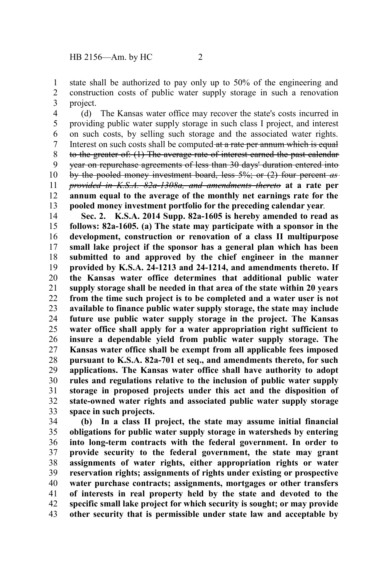state shall be authorized to pay only up to 50% of the engineering and construction costs of public water supply storage in such a renovation project. 1 2 3

(d) The Kansas water office may recover the state's costs incurred in providing public water supply storage in such class I project, and interest on such costs, by selling such storage and the associated water rights. Interest on such costs shall be computed at a rate per annum which is equal to the greater of: (1) The average rate of interest earned the past calendar year on repurchase agreements of less than 30 days' duration entered into by the pooled money investment board, less 5%; or (2) four percent *as provided in K.S.A. 82a-1308a, and amendments thereto* **at a rate per annum equal to the average of the monthly net earnings rate for the pooled money investment portfolio for the preceding calendar year**. 4 5 6 7 8 9 10 11 12 13

**Sec. 2. K.S.A. 2014 Supp. 82a-1605 is hereby amended to read as follows: 82a-1605. (a) The state may participate with a sponsor in the development, construction or renovation of a class II multipurpose small lake project if the sponsor has a general plan which has been submitted to and approved by the chief engineer in the manner provided by K.S.A. 24-1213 and 24-1214, and amendments thereto. If the Kansas water office determines that additional public water supply storage shall be needed in that area of the state within 20 years from the time such project is to be completed and a water user is not available to finance public water supply storage, the state may include future use public water supply storage in the project. The Kansas water office shall apply for a water appropriation right sufficient to insure a dependable yield from public water supply storage. The Kansas water office shall be exempt from all applicable fees imposed pursuant to K.S.A. 82a-701 et seq., and amendments thereto, for such applications. The Kansas water office shall have authority to adopt rules and regulations relative to the inclusion of public water supply storage in proposed projects under this act and the disposition of state-owned water rights and associated public water supply storage space in such projects.** 14 15 16 17 18 19 20 21 22 23 24 25 26 27 28 29 30 31 32 33

**(b) In a class II project, the state may assume initial financial obligations for public water supply storage in watersheds by entering into long-term contracts with the federal government. In order to provide security to the federal government, the state may grant assignments of water rights, either appropriation rights or water reservation rights; assignments of rights under existing or prospective water purchase contracts; assignments, mortgages or other transfers of interests in real property held by the state and devoted to the specific small lake project for which security is sought; or may provide other security that is permissible under state law and acceptable by** 34 35 36 37 38 39 40 41 42 43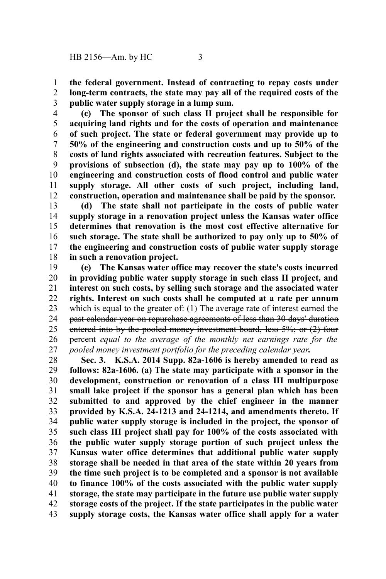**the federal government. Instead of contracting to repay costs under long-term contracts, the state may pay all of the required costs of the public water supply storage in a lump sum.** 1 2 3

**(c) The sponsor of such class II project shall be responsible for acquiring land rights and for the costs of operation and maintenance of such project. The state or federal government may provide up to 50% of the engineering and construction costs and up to 50% of the costs of land rights associated with recreation features. Subject to the provisions of subsection (d), the state may pay up to 100% of the engineering and construction costs of flood control and public water supply storage. All other costs of such project, including land, construction, operation and maintenance shall be paid by the sponsor.** 4 5 6 7 8 9 10 11 12

**(d) The state shall not participate in the costs of public water supply storage in a renovation project unless the Kansas water office determines that renovation is the most cost effective alternative for such storage. The state shall be authorized to pay only up to 50% of the engineering and construction costs of public water supply storage in such a renovation project.** 13 14 15 16 17 18

**(e) The Kansas water office may recover the state's costs incurred in providing public water supply storage in such class II project, and interest on such costs, by selling such storage and the associated water rights. Interest on such costs shall be computed at a rate per annum** which is equal to the greater of: (1) The average rate of interest earned the past calendar year on repurchase agreements of less than 30 days' duration entered into by the pooled money investment board, less 5%; or (2) four percent *equal to the average of the monthly net earnings rate for the pooled money investment portfolio for the preceding calendar year***.** 19 20 21 22 23 24 25 26 27

**Sec. 3. K.S.A. 2014 Supp. 82a-1606 is hereby amended to read as follows: 82a-1606. (a) The state may participate with a sponsor in the development, construction or renovation of a class III multipurpose small lake project if the sponsor has a general plan which has been submitted to and approved by the chief engineer in the manner provided by K.S.A. 24-1213 and 24-1214, and amendments thereto. If public water supply storage is included in the project, the sponsor of such class III project shall pay for 100% of the costs associated with the public water supply storage portion of such project unless the Kansas water office determines that additional public water supply storage shall be needed in that area of the state within 20 years from the time such project is to be completed and a sponsor is not available to finance 100% of the costs associated with the public water supply storage, the state may participate in the future use public water supply storage costs of the project. If the state participates in the public water supply storage costs, the Kansas water office shall apply for a water** 28 29 30 31 32 33 34 35 36 37 38 39 40 41 42 43